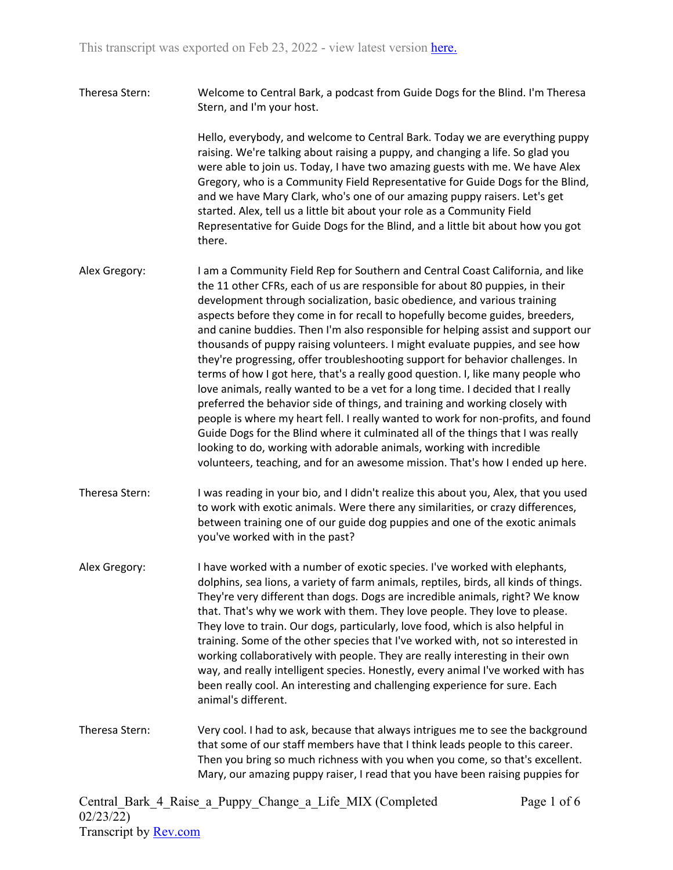Theresa Stern: Welcome to Central Bark, a podcast from Guide Dogs for the Blind. I'm Theresa Stern, and I'm your host.

> Hello, everybody, and welcome to Central Bark. Today we are everything puppy raising. We're talking about raising a puppy, and changing a life. So glad you were able to join us. Today, I have two amazing guests with me. We have Alex Gregory, who is a Community Field Representative for Guide Dogs for the Blind, and we have Mary Clark, who's one of our amazing puppy raisers. Let's get started. Alex, tell us a little bit about your role as a Community Field Representative for Guide Dogs for the Blind, and a little bit about how you got there.

- Alex Gregory: I am a Community Field Rep for Southern and Central Coast California, and like the 11 other CFRs, each of us are responsible for about 80 puppies, in their development through socialization, basic obedience, and various training aspects before they come in for recall to hopefully become guides, breeders, and canine buddies. Then I'm also responsible for helping assist and support our thousands of puppy raising volunteers. I might evaluate puppies, and see how they're progressing, offer troubleshooting support for behavior challenges. In terms of how I got here, that's a really good question. I, like many people who love animals, really wanted to be a vet for a long time. I decided that I really preferred the behavior side of things, and training and working closely with people is where my heart fell. I really wanted to work for non-profits, and found Guide Dogs for the Blind where it culminated all of the things that I was really looking to do, working with adorable animals, working with incredible volunteers, teaching, and for an awesome mission. That's how I ended up here.
- Theresa Stern: I was reading in your bio, and I didn't realize this about you, Alex, that you used to work with exotic animals. Were there any similarities, or crazy differences, between training one of our guide dog puppies and one of the exotic animals you've worked with in the past?
- Alex Gregory: I have worked with a number of exotic species. I've worked with elephants, dolphins, sea lions, a variety of farm animals, reptiles, birds, all kinds of things. They're very different than dogs. Dogs are incredible animals, right? We know that. That's why we work with them. They love people. They love to please. They love to train. Our dogs, particularly, love food, which is also helpful in training. Some of the other species that I've worked with, not so interested in working collaboratively with people. They are really interesting in their own way, and really intelligent species. Honestly, every animal I've worked with has been really cool. An interesting and challenging experience for sure. Each animal's different.
- Theresa Stern: Very cool. I had to ask, because that always intrigues me to see the background that some of our staff members have that I think leads people to this career. Then you bring so much richness with you when you come, so that's excellent. Mary, our amazing puppy raiser, I read that you have been raising puppies for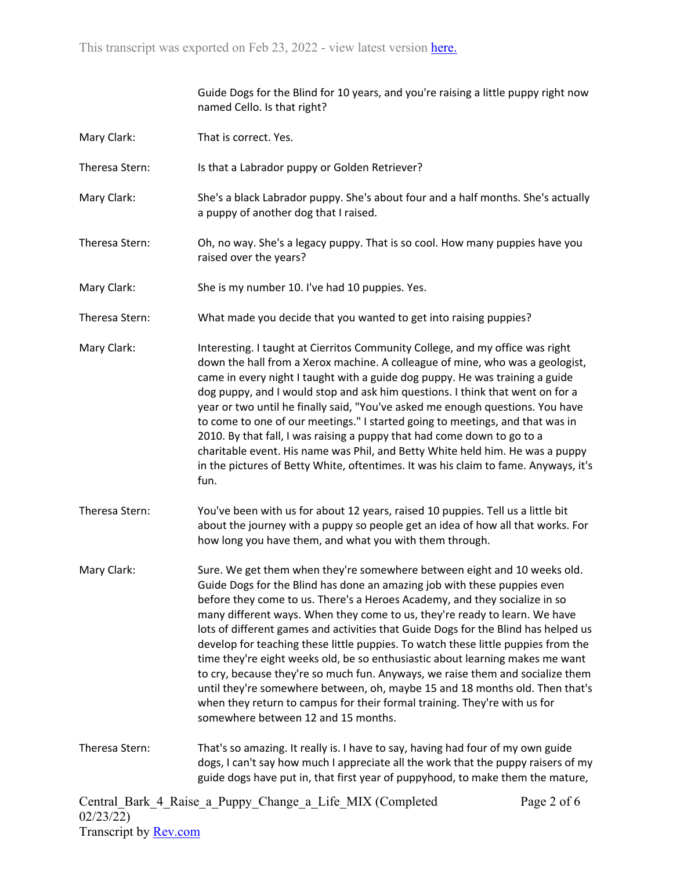|                | Guide Dogs for the Blind for 10 years, and you're raising a little puppy right now<br>named Cello. Is that right?                                                                                                                                                                                                                                                                                                                                                                                                                                                                                                                                                                                                                                                                                                                                                  |
|----------------|--------------------------------------------------------------------------------------------------------------------------------------------------------------------------------------------------------------------------------------------------------------------------------------------------------------------------------------------------------------------------------------------------------------------------------------------------------------------------------------------------------------------------------------------------------------------------------------------------------------------------------------------------------------------------------------------------------------------------------------------------------------------------------------------------------------------------------------------------------------------|
| Mary Clark:    | That is correct. Yes.                                                                                                                                                                                                                                                                                                                                                                                                                                                                                                                                                                                                                                                                                                                                                                                                                                              |
| Theresa Stern: | Is that a Labrador puppy or Golden Retriever?                                                                                                                                                                                                                                                                                                                                                                                                                                                                                                                                                                                                                                                                                                                                                                                                                      |
| Mary Clark:    | She's a black Labrador puppy. She's about four and a half months. She's actually<br>a puppy of another dog that I raised.                                                                                                                                                                                                                                                                                                                                                                                                                                                                                                                                                                                                                                                                                                                                          |
| Theresa Stern: | Oh, no way. She's a legacy puppy. That is so cool. How many puppies have you<br>raised over the years?                                                                                                                                                                                                                                                                                                                                                                                                                                                                                                                                                                                                                                                                                                                                                             |
| Mary Clark:    | She is my number 10. I've had 10 puppies. Yes.                                                                                                                                                                                                                                                                                                                                                                                                                                                                                                                                                                                                                                                                                                                                                                                                                     |
| Theresa Stern: | What made you decide that you wanted to get into raising puppies?                                                                                                                                                                                                                                                                                                                                                                                                                                                                                                                                                                                                                                                                                                                                                                                                  |
| Mary Clark:    | Interesting. I taught at Cierritos Community College, and my office was right<br>down the hall from a Xerox machine. A colleague of mine, who was a geologist,<br>came in every night I taught with a guide dog puppy. He was training a guide<br>dog puppy, and I would stop and ask him questions. I think that went on for a<br>year or two until he finally said, "You've asked me enough questions. You have<br>to come to one of our meetings." I started going to meetings, and that was in<br>2010. By that fall, I was raising a puppy that had come down to go to a<br>charitable event. His name was Phil, and Betty White held him. He was a puppy<br>in the pictures of Betty White, oftentimes. It was his claim to fame. Anyways, it's<br>fun.                                                                                                      |
| Theresa Stern: | You've been with us for about 12 years, raised 10 puppies. Tell us a little bit<br>about the journey with a puppy so people get an idea of how all that works. For<br>how long you have them, and what you with them through.                                                                                                                                                                                                                                                                                                                                                                                                                                                                                                                                                                                                                                      |
| Mary Clark:    | Sure. We get them when they're somewhere between eight and 10 weeks old.<br>Guide Dogs for the Blind has done an amazing job with these puppies even<br>before they come to us. There's a Heroes Academy, and they socialize in so<br>many different ways. When they come to us, they're ready to learn. We have<br>lots of different games and activities that Guide Dogs for the Blind has helped us<br>develop for teaching these little puppies. To watch these little puppies from the<br>time they're eight weeks old, be so enthusiastic about learning makes me want<br>to cry, because they're so much fun. Anyways, we raise them and socialize them<br>until they're somewhere between, oh, maybe 15 and 18 months old. Then that's<br>when they return to campus for their formal training. They're with us for<br>somewhere between 12 and 15 months. |
| Theresa Stern: | That's so amazing. It really is. I have to say, having had four of my own guide<br>dogs, I can't say how much I appreciate all the work that the puppy raisers of my<br>guide dogs have put in, that first year of puppyhood, to make them the mature,                                                                                                                                                                                                                                                                                                                                                                                                                                                                                                                                                                                                             |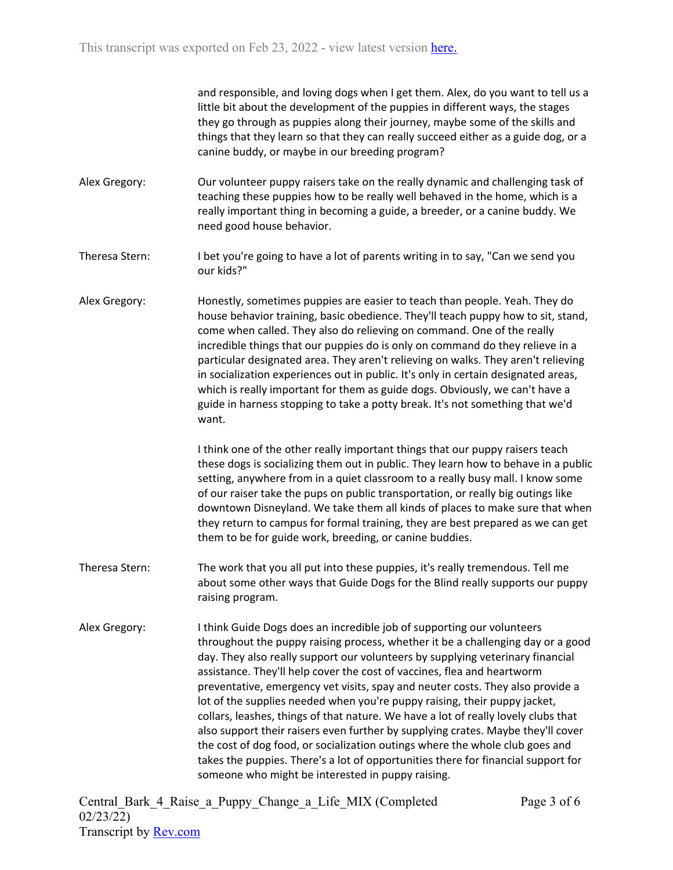and responsible, and loving dogs when I get them. Alex, do you want to tell us a little bit about the development of the puppies in different ways, the stages they go through as puppies along their journey, maybe some of the skills and things that they learn so that they can really succeed either as a guide dog, or a canine buddy, or maybe in our breeding program?

- Alex Gregory: Our volunteer puppy raisers take on the really dynamic and challenging task of teaching these puppies how to be really well behaved in the home, which is a really important thing in becoming a guide, a breeder, or a canine buddy. We need good house behavior.
- Theresa Stern: I bet you're going to have a lot of parents writing in to say, "Can we send you our kids?"
- Alex Gregory: Honestly, sometimes puppies are easier to teach than people. Yeah. They do house behavior training, basic obedience. They'll teach puppy how to sit, stand, come when called. They also do relieving on command. One of the really incredible things that our puppies do is only on command do they relieve in a particular designated area. They aren't relieving on walks. They aren't relieving in socialization experiences out in public. It's only in certain designated areas, which is really important for them as guide dogs. Obviously, we can't have a guide in harness stopping to take a potty break. It's not something that we'd want.

I think one of the other really important things that our puppy raisers teach these dogs is socializing them out in public. They learn how to behave in a public setting, anywhere from in a quiet classroom to a really busy mall. I know some of our raiser take the pups on public transportation, or really big outings like downtown Disneyland. We take them all kinds of places to make sure that when they return to campus for formal training, they are best prepared as we can get them to be for guide work, breeding, or canine buddies.

- Theresa Stern: The work that you all put into these puppies, it's really tremendous. Tell me about some other ways that Guide Dogs for the Blind really supports our puppy raising program.
- Alex Gregory: I think Guide Dogs does an incredible job of supporting our volunteers throughout the puppy raising process, whether it be a challenging day or a good day. They also really support our volunteers by supplying veterinary financial assistance. They'll help cover the cost of vaccines, flea and heartworm preventative, emergency vet visits, spay and neuter costs. They also provide a lot of the supplies needed when you're puppy raising, their puppy jacket, collars, leashes, things of that nature. We have a lot of really lovely clubs that also support their raisers even further by supplying crates. Maybe they'll cover the cost of dog food, or socialization outings where the whole club goes and takes the puppies. There's a lot of opportunities there for financial support for someone who might be interested in puppy raising.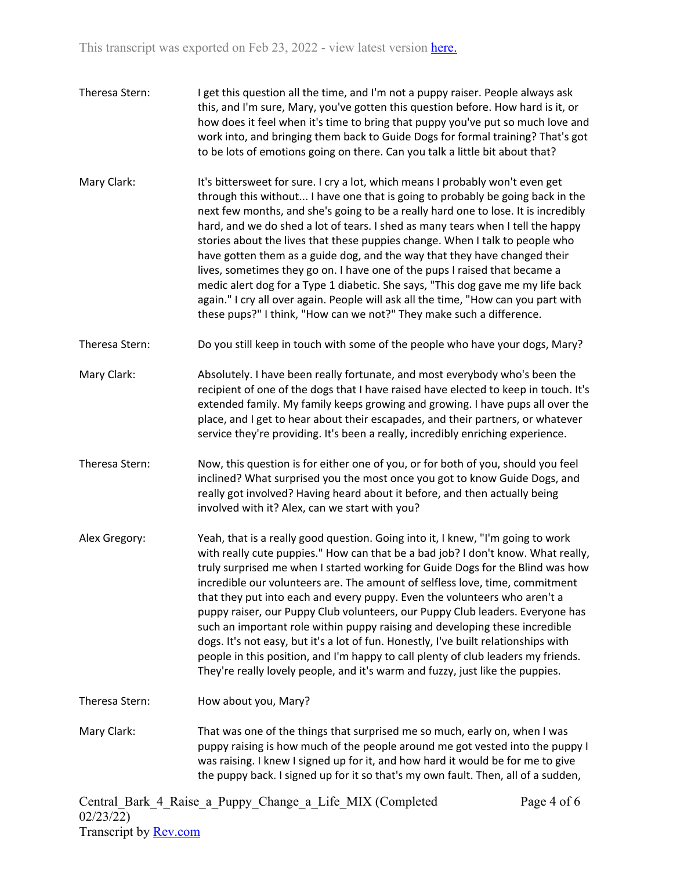- Theresa Stern: I get this question all the time, and I'm not a puppy raiser. People always ask this, and I'm sure, Mary, you've gotten this question before. How hard is it, or how does it feel when it's time to bring that puppy you've put so much love and work into, and bringing them back to Guide Dogs for formal training? That's got to be lots of emotions going on there. Can you talk a little bit about that?
- Mary Clark: It's bittersweet for sure. I cry a lot, which means I probably won't even get through this without... I have one that is going to probably be going back in the next few months, and she's going to be a really hard one to lose. It is incredibly hard, and we do shed a lot of tears. I shed as many tears when I tell the happy stories about the lives that these puppies change. When I talk to people who have gotten them as a guide dog, and the way that they have changed their lives, sometimes they go on. I have one of the pups I raised that became a medic alert dog for a Type 1 diabetic. She says, "This dog gave me my life back again." I cry all over again. People will ask all the time, "How can you part with these pups?" I think, "How can we not?" They make such a difference.
- Theresa Stern: Do you still keep in touch with some of the people who have your dogs, Mary?
- Mary Clark: Absolutely. I have been really fortunate, and most everybody who's been the recipient of one of the dogs that I have raised have elected to keep in touch. It's extended family. My family keeps growing and growing. I have pups all over the place, and I get to hear about their escapades, and their partners, or whatever service they're providing. It's been a really, incredibly enriching experience.
- Theresa Stern: Now, this question is for either one of you, or for both of you, should you feel inclined? What surprised you the most once you got to know Guide Dogs, and really got involved? Having heard about it before, and then actually being involved with it? Alex, can we start with you?
- Alex Gregory: Yeah, that is a really good question. Going into it, I knew, "I'm going to work with really cute puppies." How can that be a bad job? I don't know. What really, truly surprised me when I started working for Guide Dogs for the Blind was how incredible our volunteers are. The amount of selfless love, time, commitment that they put into each and every puppy. Even the volunteers who aren't a puppy raiser, our Puppy Club volunteers, our Puppy Club leaders. Everyone has such an important role within puppy raising and developing these incredible dogs. It's not easy, but it's a lot of fun. Honestly, I've built relationships with people in this position, and I'm happy to call plenty of club leaders my friends. They're really lovely people, and it's warm and fuzzy, just like the puppies.

Theresa Stern: How about you, Mary?

Mary Clark: That was one of the things that surprised me so much, early on, when I was puppy raising is how much of the people around me got vested into the puppy I was raising. I knew I signed up for it, and how hard it would be for me to give the puppy back. I signed up for it so that's my own fault. Then, all of a sudden,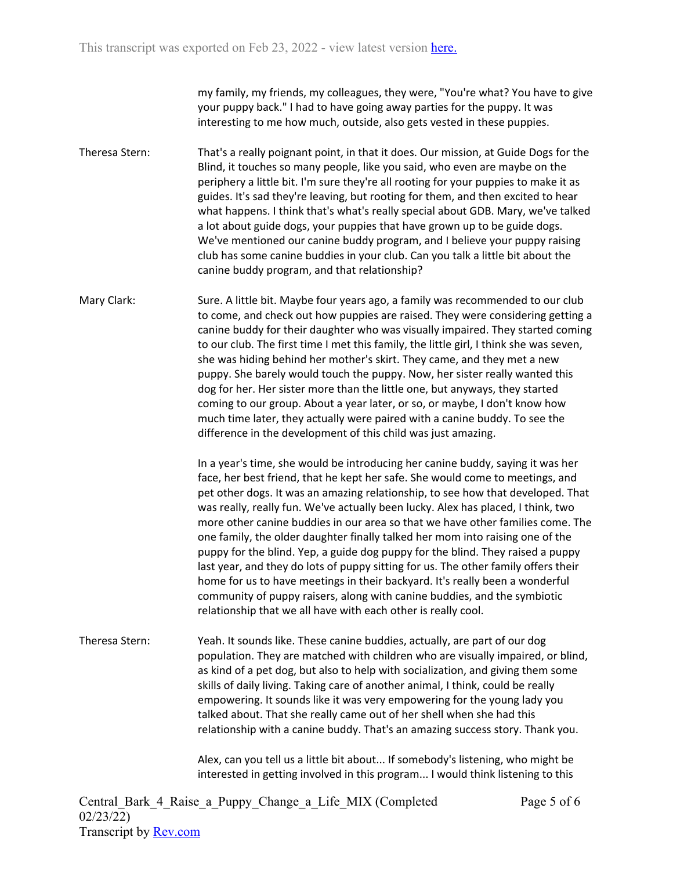my family, my friends, my colleagues, they were, "You're what? You have to give your puppy back." I had to have going away parties for the puppy. It was interesting to me how much, outside, also gets vested in these puppies.

- Theresa Stern: That's a really poignant point, in that it does. Our mission, at Guide Dogs for the Blind, it touches so many people, like you said, who even are maybe on the periphery a little bit. I'm sure they're all rooting for your puppies to make it as guides. It's sad they're leaving, but rooting for them, and then excited to hear what happens. I think that's what's really special about GDB. Mary, we've talked a lot about guide dogs, your puppies that have grown up to be guide dogs. We've mentioned our canine buddy program, and I believe your puppy raising club has some canine buddies in your club. Can you talk a little bit about the canine buddy program, and that relationship?
- Mary Clark: Sure. A little bit. Maybe four years ago, a family was recommended to our club to come, and check out how puppies are raised. They were considering getting a canine buddy for their daughter who was visually impaired. They started coming to our club. The first time I met this family, the little girl, I think she was seven, she was hiding behind her mother's skirt. They came, and they met a new puppy. She barely would touch the puppy. Now, her sister really wanted this dog for her. Her sister more than the little one, but anyways, they started coming to our group. About a year later, or so, or maybe, I don't know how much time later, they actually were paired with a canine buddy. To see the difference in the development of this child was just amazing.

In a year's time, she would be introducing her canine buddy, saying it was her face, her best friend, that he kept her safe. She would come to meetings, and pet other dogs. It was an amazing relationship, to see how that developed. That was really, really fun. We've actually been lucky. Alex has placed, I think, two more other canine buddies in our area so that we have other families come. The one family, the older daughter finally talked her mom into raising one of the puppy for the blind. Yep, a guide dog puppy for the blind. They raised a puppy last year, and they do lots of puppy sitting for us. The other family offers their home for us to have meetings in their backyard. It's really been a wonderful community of puppy raisers, along with canine buddies, and the symbiotic relationship that we all have with each other is really cool.

Theresa Stern: Yeah. It sounds like. These canine buddies, actually, are part of our dog population. They are matched with children who are visually impaired, or blind, as kind of a pet dog, but also to help with socialization, and giving them some skills of daily living. Taking care of another animal, I think, could be really empowering. It sounds like it was very empowering for the young lady you talked about. That she really came out of her shell when she had this relationship with a canine buddy. That's an amazing success story. Thank you.

> Alex, can you tell us a little bit about... If somebody's listening, who might be interested in getting involved in this program... I would think listening to this